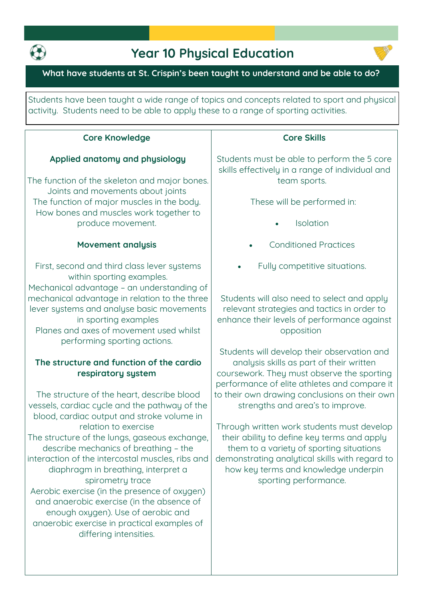

# **Year 10 Physical Education**



#### **What have students at St. Crispin's been taught to understand and be able to do?**

**Students have been taught a wide range of topics and concepts related to sport and physical activity. Students need to be able to apply these to a range of sporting activities.**

#### **Core Knowledge**

#### **Applied anatomy and physiology**

**The function of the skeleton and major bones. Joints and movements about joints The function of major muscles in the body. How bones and muscles work together to produce movement.**

#### **Movement analysis**

**First, second and third class lever systems within sporting examples. Mechanical advantage – an understanding of mechanical advantage in relation to the three lever systems and analyse basic movements in sporting examples Planes and axes of movement used whilst performing sporting actions.**

## **The structure and function of the cardio respiratory system**

**The structure of the heart, describe blood vessels, cardiac cycle and the pathway of the blood, cardiac output and stroke volume in relation to exercise The structure of the lungs, gaseous exchange, describe mechanics of breathing – the interaction of the intercostal muscles, ribs and diaphragm in breathing, interpret a spirometry trace Aerobic exercise (in the presence of oxygen) and anaerobic exercise (in the absence of enough oxygen). Use of aerobic and anaerobic exercise in practical examples of differing intensities.**

#### **Core Skills**

**Students must be able to perform the 5 core skills effectively in a range of individual and team sports.** 

**These will be performed in:**

- **Isolation**
- **Conditioned Practices**
- **Fully competitive situations.**

**Students will also need to select and apply relevant strategies and tactics in order to enhance their levels of performance against opposition** 

**Students will develop their observation and analysis skills as part of their written coursework. They must observe the sporting performance of elite athletes and compare it to their own drawing conclusions on their own strengths and area's to improve.** 

**Through written work students must develop their ability to define key terms and apply them to a variety of sporting situations demonstrating analytical skills with regard to how key terms and knowledge underpin sporting performance.**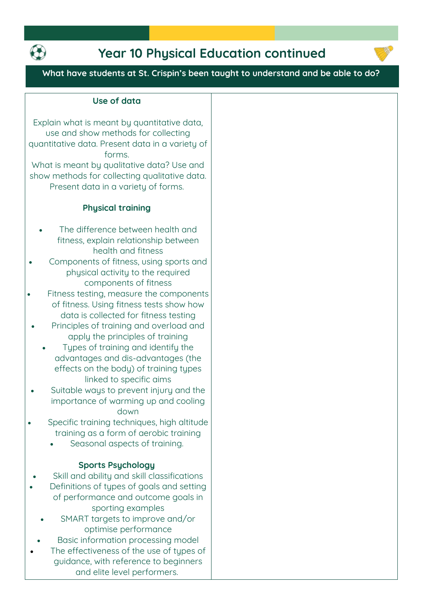

# **Year 10 Physical Education continued**



**What have students at St. Crispin's been taught to understand and be able to do?**

#### **Use of data**

**Explain what is meant by quantitative data, use and show methods for collecting quantitative data. Present data in a variety of forms. What is meant by qualitative data? Use and show methods for collecting qualitative data.** 

**Present data in a variety of forms.**

#### **Phusical training**

- **The difference between health and fitness, explain relationship between health and fitness**
- **Components of fitness, using sports and physical activity to the required components of fitness**
- **Fitness testing, measure the components of fitness. Using fitness tests show how data is collected for fitness testing**
- **Principles of training and overload and apply the principles of training**
	- **Types of training and identify the advantages and dis-advantages (the effects on the body) of training types linked to specific aims**
- **Suitable ways to prevent injury and the importance of warming up and cooling down**
- **Specific training techniques, high altitude training as a form of aerobic training**
	- **Seasonal aspects of training.**

#### **Sports Psychology**

- **Skill and ability and skill classifications**
	- **Definitions of types of goals and setting of performance and outcome goals in sporting examples**
	- **SMART targets to improve and/or optimise performance**
- **Basic information processing model**
- **The effectiveness of the use of types of guidance, with reference to beginners and elite level performers.**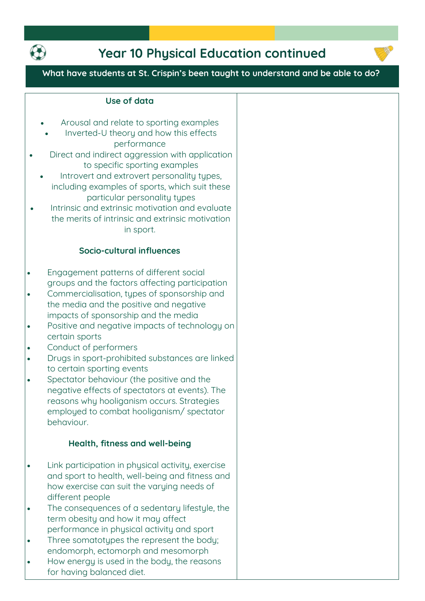

# **Year 10 Physical Education continued**



**What have students at St. Crispin's been taught to understand and be able to do?**

| Arousal and relate to sporting examples<br>Inverted-U theory and how this effects<br>performance<br>Direct and indirect aggression with application<br>to specific sporting examples<br>Introvert and extrovert personality types,<br>including examples of sports, which suit these<br>particular personality types<br>Intrinsic and extrinsic motivation and evaluate<br>the merits of intrinsic and extrinsic motivation<br>in sport. |  |
|------------------------------------------------------------------------------------------------------------------------------------------------------------------------------------------------------------------------------------------------------------------------------------------------------------------------------------------------------------------------------------------------------------------------------------------|--|
| Socio-cultural influences                                                                                                                                                                                                                                                                                                                                                                                                                |  |
| Engagement patterns of different social<br>groups and the factors affecting participation<br>Commercialisation, types of sponsorship and<br>the media and the positive and negative<br>impacts of sponsorship and the media<br>Positive and negative impacts of technology on<br>certain sports<br>Conduct of performers<br>Drugs in sport-prohibited substances are linked                                                              |  |
| to certain sporting events<br>Spectator behaviour (the positive and the<br>negative effects of spectators at events). The<br>reasons why hooliganism occurs. Strategies<br>employed to combat hooliganism/spectator<br>behaviour.<br>Health, fitness and well-being                                                                                                                                                                      |  |
|                                                                                                                                                                                                                                                                                                                                                                                                                                          |  |
| Link participation in physical activity, exercise<br>and sport to health, well-being and fitness and<br>how exercise can suit the varying needs of<br>different people                                                                                                                                                                                                                                                                   |  |
| The consequences of a sedentary lifestyle, the<br>term obesity and how it may affect<br>performance in physical activity and sport<br>Three somatotypes the represent the body;                                                                                                                                                                                                                                                          |  |
| endomorph, ectomorph and mesomorph<br>How energy is used in the body, the reasons<br>for having balanced diet.                                                                                                                                                                                                                                                                                                                           |  |

**Use of data**